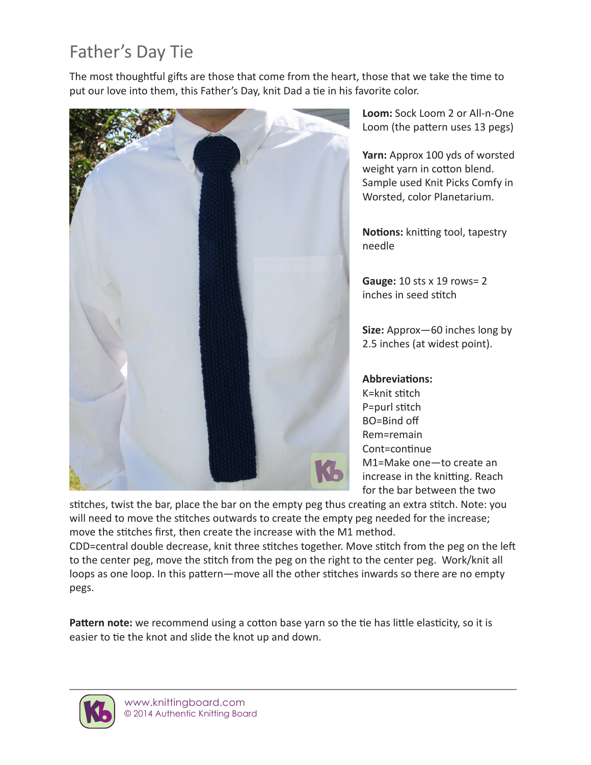## Father's Day Tie

The most thoughtful gifts are those that come from the heart, those that we take the time to put our love into them, this Father's Day, knit Dad a tie in his favorite color.



**Loom:** Sock Loom 2 or All-n-One Loom (the pattern uses 13 pegs)

**Yarn:** Approx 100 yds of worsted weight yarn in cotton blend. Sample used Knit Picks Comfy in Worsted, color Planetarium.

**Notions:** knitting tool, tapestry needle

**Gauge:** 10 sts x 19 rows= 2 inches in seed stitch

**Size:** Approx—60 inches long by 2.5 inches (at widest point).

## **Abbreviations:**

K=knit stitch P=purl stitch BO=Bind off Rem=remain Cont=continue M1=Make one—to create an increase in the knitting. Reach for the bar between the two

stitches, twist the bar, place the bar on the empty peg thus creating an extra stitch. Note: you will need to move the stitches outwards to create the empty peg needed for the increase; move the stitches first, then create the increase with the M1 method.

CDD=central double decrease, knit three stitches together. Move stitch from the peg on the left to the center peg, move the stitch from the peg on the right to the center peg. Work/knit all loops as one loop. In this pattern—move all the other stitches inwards so there are no empty pegs.

Pattern note: we recommend using a cotton base yarn so the tie has little elasticity, so it is easier to tie the knot and slide the knot up and down.